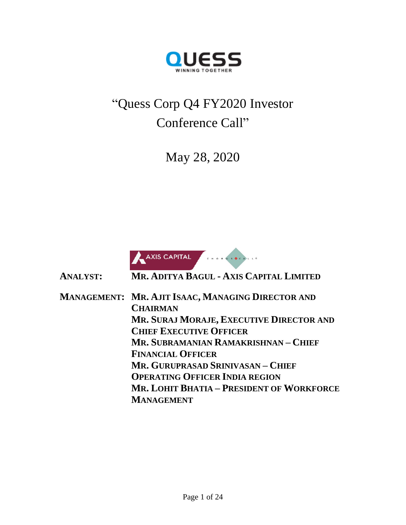

# "Quess Corp Q4 FY2020 Investor Conference Call"

May 28, 2020



**ANALYST: MR. ADITYA BAGUL - AXIS CAPITAL LIMITED**

**MANAGEMENT: MR. AJIT ISAAC, MANAGING DIRECTOR AND CHAIRMAN MR. SURAJ MORAJE, EXECUTIVE DIRECTOR AND CHIEF EXECUTIVE OFFICER MR. SUBRAMANIAN RAMAKRISHNAN – CHIEF FINANCIAL OFFICER MR. GURUPRASAD SRINIVASAN – CHIEF OPERATING OFFICER INDIA REGION MR. LOHIT BHATIA – PRESIDENT OF WORKFORCE MANAGEMENT**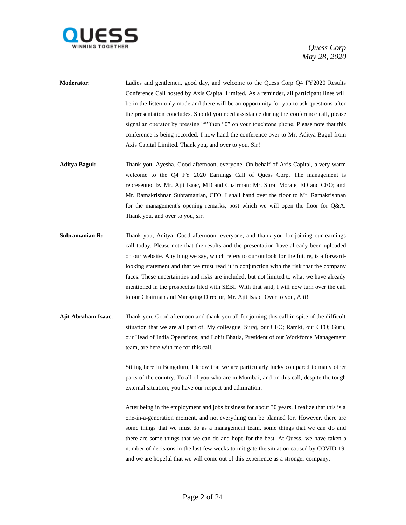

- **Moderator**: Ladies and gentlemen, good day, and welcome to the Quess Corp Q4 FY2020 Results Conference Call hosted by Axis Capital Limited. As a reminder, all participant lines will be in the listen-only mode and there will be an opportunity for you to ask questions after the presentation concludes. Should you need assistance during the conference call, please signal an operator by pressing "\*"then "0" on your touchtone phone. Please note that this conference is being recorded. I now hand the conference over to Mr. Aditya Bagul from Axis Capital Limited. Thank you, and over to you, Sir!
- **Aditya Bagul:** Thank you, Ayesha. Good afternoon, everyone. On behalf of Axis Capital, a very warm welcome to the Q4 FY 2020 Earnings Call of Quess Corp. The management is represented by Mr. Ajit Isaac, MD and Chairman; Mr. Suraj Moraje, ED and CEO; and Mr. Ramakrishnan Subramanian, CFO. I shall hand over the floor to Mr. Ramakrishnan for the management's opening remarks, post which we will open the floor for Q&A. Thank you, and over to you, sir.
- **Subramanian R:** Thank you, Aditya. Good afternoon, everyone, and thank you for joining our earnings call today. Please note that the results and the presentation have already been uploaded on our website. Anything we say, which refers to our outlook for the future, is a forwardlooking statement and that we must read it in conjunction with the risk that the company faces. These uncertainties and risks are included, but not limited to what we have already mentioned in the prospectus filed with SEBI. With that said, I will now turn over the call to our Chairman and Managing Director, Mr. Ajit Isaac. Over to you, Ajit!
- **Ajit Abraham Isaac**: Thank you. Good afternoon and thank you all for joining this call in spite of the difficult situation that we are all part of. My colleague, Suraj, our CEO; Ramki, our CFO; Guru, our Head of India Operations; and Lohit Bhatia, President of our Workforce Management team, are here with me for this call.

Sitting here in Bengaluru, I know that we are particularly lucky compared to many other parts of the country. To all of you who are in Mumbai, and on this call, despite the tough external situation, you have our respect and admiration.

After being in the employment and jobs business for about 30 years, I realize that this is a one-in-a-generation moment, and not everything can be planned for. However, there are some things that we must do as a management team, some things that we can do and there are some things that we can do and hope for the best. At Quess, we have taken a number of decisions in the last few weeks to mitigate the situation caused by COVID-19, and we are hopeful that we will come out of this experience as a stronger company.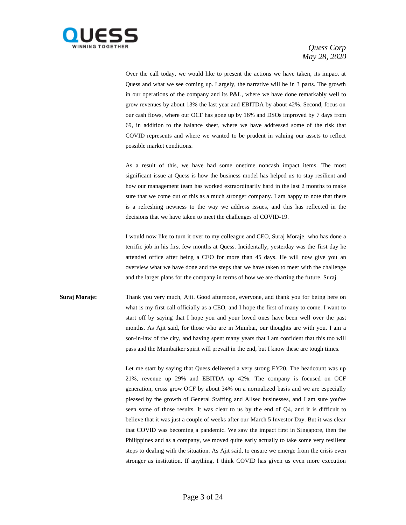

Over the call today, we would like to present the actions we have taken, its impact at Quess and what we see coming up. Largely, the narrative will be in 3 parts. The growth in our operations of the company and its P&L, where we have done remarkably well to grow revenues by about 13% the last year and EBITDA by about 42%. Second, focus on our cash flows, where our OCF has gone up by 16% and DSOs improved by 7 days from 69, in addition to the balance sheet, where we have addressed some of the risk that COVID represents and where we wanted to be prudent in valuing our assets to reflect possible market conditions.

As a result of this, we have had some onetime noncash impact items. The most significant issue at Quess is how the business model has helped us to stay resilient and how our management team has worked extraordinarily hard in the last 2 months to make sure that we come out of this as a much stronger company. I am happy to note that there is a refreshing newness to the way we address issues, and this has reflected in the decisions that we have taken to meet the challenges of COVID-19.

I would now like to turn it over to my colleague and CEO, Suraj Moraje, who has done a terrific job in his first few months at Quess. Incidentally, yesterday was the first day he attended office after being a CEO for more than 45 days. He will now give you an overview what we have done and the steps that we have taken to meet with the challenge and the larger plans for the company in terms of how we are charting the future. Suraj.

**Suraj Moraje:** Thank you very much, Ajit. Good afternoon, everyone, and thank you for being here on what is my first call officially as a CEO, and I hope the first of many to come. I want to start off by saying that I hope you and your loved ones have been well over the past months. As Ajit said, for those who are in Mumbai, our thoughts are with you. I am a son-in-law of the city, and having spent many years that I am confident that this too will pass and the Mumbaiker spirit will prevail in the end, but I know these are tough times.

> Let me start by saying that Quess delivered a very strong FY20. The headcount was up 21%, revenue up 29% and EBITDA up 42%. The company is focused on OCF generation, cross grow OCF by about 34% on a normalized basis and we are especially pleased by the growth of General Staffing and Allsec businesses, and I am sure you've seen some of those results. It was clear to us by the end of Q4, and it is difficult to believe that it was just a couple of weeks after our March 5 Investor Day. But it was clear that COVID was becoming a pandemic. We saw the impact first in Singapore, then the Philippines and as a company, we moved quite early actually to take some very resilient steps to dealing with the situation. As Ajit said, to ensure we emerge from the crisis even stronger as institution. If anything, I think COVID has given us even more execution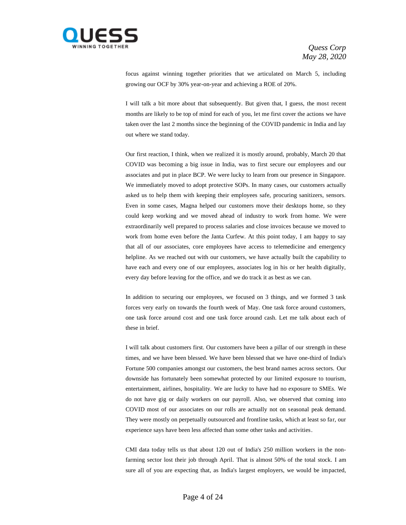

focus against winning together priorities that we articulated on March 5, including growing our OCF by 30% year-on-year and achieving a ROE of 20%.

I will talk a bit more about that subsequently. But given that, I guess, the most recent months are likely to be top of mind for each of you, let me first cover the actions we have taken over the last 2 months since the beginning of the COVID pandemic in India and lay out where we stand today.

Our first reaction, I think, when we realized it is mostly around, probably, March 20 that COVID was becoming a big issue in India, was to first secure our employees and our associates and put in place BCP. We were lucky to learn from our presence in Singapore. We immediately moved to adopt protective SOPs. In many cases, our customers actually asked us to help them with keeping their employees safe, procuring sanitizers, sensors. Even in some cases, Magna helped our customers move their desktops home, so they could keep working and we moved ahead of industry to work from home. We were extraordinarily well prepared to process salaries and close invoices because we moved to work from home even before the Janta Curfew. At this point today, I am happy to say that all of our associates, core employees have access to telemedicine and emergency helpline. As we reached out with our customers, we have actually built the capability to have each and every one of our employees, associates log in his or her health digitally, every day before leaving for the office, and we do track it as best as we can.

In addition to securing our employees, we focused on 3 things, and we formed 3 task forces very early on towards the fourth week of May. One task force around customers, one task force around cost and one task force around cash. Let me talk about each of these in brief.

I will talk about customers first. Our customers have been a pillar of our strength in these times, and we have been blessed. We have been blessed that we have one-third of India's Fortune 500 companies amongst our customers, the best brand names across sectors. Our downside has fortunately been somewhat protected by our limited exposure to tourism, entertainment, airlines, hospitality. We are lucky to have had no exposure to SMEs. We do not have gig or daily workers on our payroll. Also, we observed that coming into COVID most of our associates on our rolls are actually not on seasonal peak demand. They were mostly on perpetually outsourced and frontline tasks, which at least so far, our experience says have been less affected than some other tasks and activities.

CMI data today tells us that about 120 out of India's 250 million workers in the nonfarming sector lost their job through April. That is almost 50% of the total stock. I am sure all of you are expecting that, as India's largest employers, we would be impacted,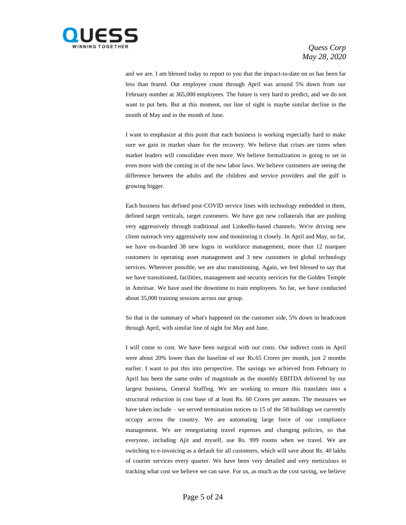

and we are. I am blessed today to report to you that the impact-to-date on us has been far less than feared. Our employee count through April was around 5% down from our February number at 365,000 employees. The future is very hard to predict, and we do not want to put bets. But at this moment, our line of sight is maybe similar decline in the month of May and in the month of June.

I want to emphasize at this point that each business is working especially hard to make sure we gain in market share for the recovery. We believe that crises are times when market leaders will consolidate even more. We believe formalization is going to set in even more with the coming in of the new labor laws. We believe customers are seeing the difference between the adults and the children and service providers and the gulf is growing bigger.

Each business has defined post-COVID service lines with technology embedded in them, defined target verticals, target customers. We have got new collaterals that are pushing very aggressively through traditional and LinkedIn-based channels. We're driving new client outreach very aggressively now and monitoring it closely. In April and May, so far, we have on-boarded 38 new logos in workforce management, more than 12 marquee customers in operating asset management and 3 new customers in global technology services. Wherever possible, we are also transitioning. Again, we feel blessed to say that we have transitioned, facilities, management and security services for the Golden Temple in Amritsar. We have used the downtime to train employees. So far, we have conducted about 35,000 training sessions across our group.

So that is the summary of what's happened on the customer side, 5% down in headcount through April, with similar line of sight for May and June.

I will come to cost. We have been surgical with our costs. Our indirect costs in April were about 20% lower than the baseline of our Rs.65 Crores per month, just 2 months earlier. I want to put this into perspective. The savings we achieved from February to April has been the same order of magnitude as the monthly EBITDA delivered by our largest business, General Staffing. We are working to ensure this translates into a structural reduction in cost base of at least Rs. 60 Crores per annum. The measures we have taken include – we served termination notices to 15 of the 58 buildings we currently occupy across the country. We are automating large force of our compliance management. We are renegotiating travel expenses and changing policies, so that everyone, including Ajit and myself, use Rs. 999 rooms when we travel. We are switching to e-invoicing as a default for all customers, which will save about Rs. 40 lakhs of courier services every quarter. We have been very detailed and very meticulous in tracking what cost we believe we can save. For us, as much as the cost saving, we believe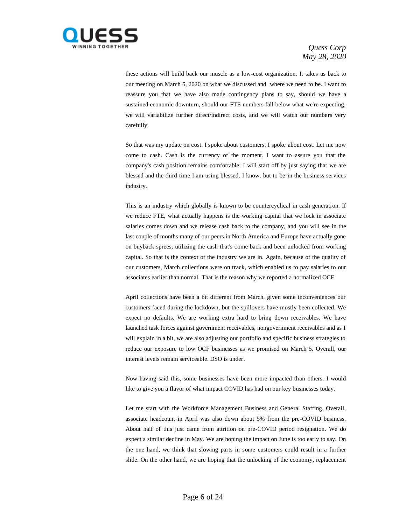

these actions will build back our muscle as a low-cost organization. It takes us back to our meeting on March 5, 2020 on what we discussed and where we need to be. I want to reassure you that we have also made contingency plans to say, should we have a sustained economic downturn, should our FTE numbers fall below what we're expecting, we will variabilize further direct/indirect costs, and we will watch our numbers very carefully.

So that was my update on cost. I spoke about customers. I spoke about cost. Let me now come to cash. Cash is the currency of the moment. I want to assure you that the company's cash position remains comfortable. I will start off by just saying that we are blessed and the third time I am using blessed, I know, but to be in the business services industry.

This is an industry which globally is known to be countercyclical in cash generation. If we reduce FTE, what actually happens is the working capital that we lock in associate salaries comes down and we release cash back to the company, and you will see in the last couple of months many of our peers in North America and Europe have actually gone on buyback sprees, utilizing the cash that's come back and been unlocked from working capital. So that is the context of the industry we are in. Again, because of the quality of our customers, March collections were on track, which enabled us to pay salaries to our associates earlier than normal. That is the reason why we reported a normalized OCF.

April collections have been a bit different from March, given some inconveniences our customers faced during the lockdown, but the spillovers have mostly been collected. We expect no defaults. We are working extra hard to bring down receivables. We have launched task forces against government receivables, nongovernment receivables and as I will explain in a bit, we are also adjusting our portfolio and specific business strategies to reduce our exposure to low OCF businesses as we promised on March 5. Overall, our interest levels remain serviceable. DSO is under.

Now having said this, some businesses have been more impacted than others. I would like to give you a flavor of what impact COVID has had on our key businesses today.

Let me start with the Workforce Management Business and General Staffing. Overall, associate headcount in April was also down about 5% from the pre-COVID business. About half of this just came from attrition on pre-COVID period resignation. We do expect a similar decline in May. We are hoping the impact on June is too early to say. On the one hand, we think that slowing parts in some customers could result in a further slide. On the other hand, we are hoping that the unlocking of the economy, replacement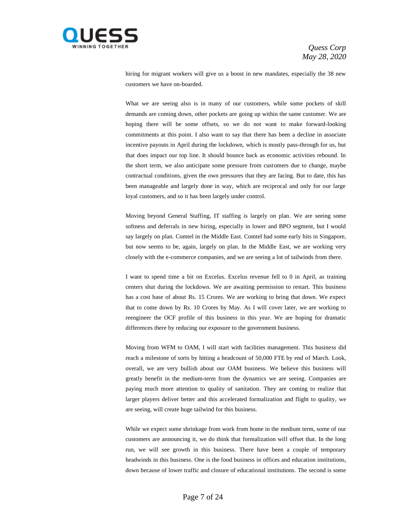

hiring for migrant workers will give us a boost in new mandates, especially the 38 new customers we have on-boarded.

What we are seeing also is in many of our customers, while some pockets of skill demands are coming down, other pockets are going up within the same customer. We are hoping there will be some offsets, so we do not want to make forward-looking commitments at this point. I also want to say that there has been a decline in associate incentive payouts in April during the lockdown, which is mostly pass-through for us, but that does impact our top line. It should bounce back as economic activities rebound. In the short term, we also anticipate some pressure from customers due to change, maybe contractual conditions, given the own pressures that they are facing. But to date, this has been manageable and largely done in way, which are reciprocal and only for our large loyal customers, and so it has been largely under control.

Moving beyond General Staffing, IT staffing is largely on plan. We are seeing some softness and deferrals in new hiring, especially in lower and BPO segment, but I would say largely on plan. Comtel in the Middle East. Comtel had some early hits in Singapore, but now seems to be, again, largely on plan. In the Middle East, we are working very closely with the e-commerce companies, and we are seeing a lot of tailwinds from there.

I want to spend time a bit on Excelus. Excelus revenue fell to 0 in April, as training centers shut during the lockdown. We are awaiting permission to restart. This business has a cost base of about Rs. 15 Crores. We are working to bring that down. We expect that to come down by Rs. 10 Crores by May. As I will cover later, we are working to reengineer the OCF profile of this business in this year. We are hoping for dramatic differences there by reducing our exposure to the government business.

Moving from WFM to OAM, I will start with facilities management. This business did reach a milestone of sorts by hitting a headcount of 50,000 FTE by end of March. Look, overall, we are very bullish about our OAM business. We believe this business will greatly benefit in the medium-term from the dynamics we are seeing. Companies are paying much more attention to quality of sanitation. They are coming to realize that larger players deliver better and this accelerated formalization and flight to quality, we are seeing, will create huge tailwind for this business.

While we expect some shrinkage from work from home in the medium term, some of our customers are announcing it, we do think that formalization will offset that. In the long run, we will see growth in this business. There have been a couple of temporary headwinds in this business. One is the food business in offices and education institutions, down because of lower traffic and closure of educational institutions. The second is some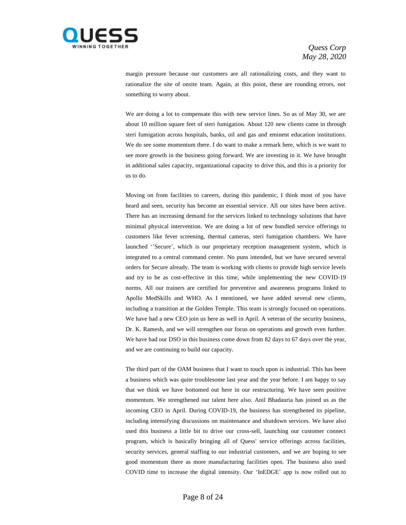

margin pressure because our customers are all rationalizing costs, and they want to rationalize the site of onsite team. Again, at this point, these are rounding errors, not something to worry about.

We are doing a lot to compensate this with new service lines. So as of May 30, we are about 10 million square feet of steri fumigation. About 120 new clients came in through steri fumigation across hospitals, banks, oil and gas and eminent education institutions. We do see some momentum there. I do want to make a remark here, which is we want to see more growth in the business going forward. We are investing in it. We have brought in additional sales capacity, organizational capacity to drive this, and this is a priority for us to do.

Moving on from facilities to careers, during this pandemic, I think most of you have heard and seen, security has become an essential service. All our sites have been active. There has an increasing demand for the services linked to technology solutions that have minimal physical intervention. We are doing a lot of new bundled service offerings to customers like fever screening, thermal cameras, steri fumigation chambers. We have launched ''Secure', which is our proprietary reception management system, which is integrated to a central command center. No puns intended, but we have secured several orders for Secure already. The team is working with clients to provide high service levels and try to be as cost-effective in this time, while implementing the new COVID-19 norms. All our trainers are certified for preventive and awareness programs linked to Apollo MedSkills and WHO. As I mentioned, we have added several new clients, including a transition at the Golden Temple. This team is strongly focused on operations. We have had a new CEO join us here as well in April. A veteran of the security business, Dr. K. Ramesh, and we will strengthen our focus on operations and growth even further. We have had our DSO in this business come down from 82 days to 67 days over the year, and we are continuing to build our capacity.

The third part of the OAM business that I want to touch upon is industrial. This has been a business which was quite troublesome last year and the year before. I am happy to say that we think we have bottomed out here in our restructuring. We have seen positive momentum. We strengthened our talent here also. Anil Bhadauria has joined us as the incoming CEO in April. During COVID-19, the business has strengthened its pipeline, including intensifying discussions on maintenance and shutdown services. We have also used this business a little bit to drive our cross-sell, launching our customer connect program, which is basically bringing all of Quess' service offerings across facilities, security services, general staffing to our industrial customers, and we are hoping to see good momentum there as more manufacturing facilities open. The business also used COVID time to increase the digital intensity. Our 'InEDGE' app is now rolled out to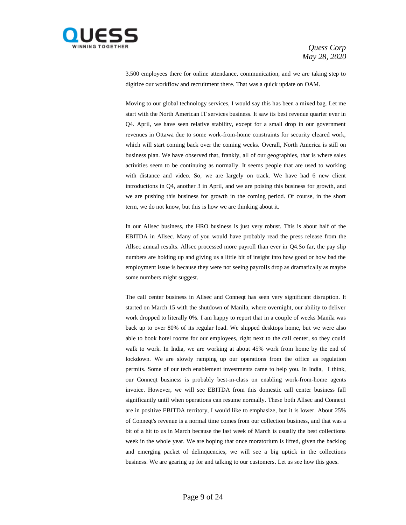

3,500 employees there for online attendance, communication, and we are taking step to digitize our workflow and recruitment there. That was a quick update on OAM.

Moving to our global technology services, I would say this has been a mixed bag. Let me start with the North American IT services business. It saw its best revenue quarter ever in Q4. April, we have seen relative stability, except for a small drop in our government revenues in Ottawa due to some work-from-home constraints for security cleared work, which will start coming back over the coming weeks. Overall, North America is still on business plan. We have observed that, frankly, all of our geographies, that is where sales activities seem to be continuing as normally. It seems people that are used to working with distance and video. So, we are largely on track. We have had 6 new client introductions in Q4, another 3 in April, and we are poising this business for growth, and we are pushing this business for growth in the coming period. Of course, in the short term, we do not know, but this is how we are thinking about it.

In our Allsec business, the HRO business is just very robust. This is about half of the EBITDA in Allsec. Many of you would have probably read the press release from the Allsec annual results. Allsec processed more payroll than ever in Q4.So far, the pay slip numbers are holding up and giving us a little bit of insight into how good or how bad the employment issue is because they were not seeing payrolls drop as dramatically as maybe some numbers might suggest.

The call center business in Allsec and Conneqt has seen very significant disruption. It started on March 15 with the shutdown of Manila, where overnight, our ability to deliver work dropped to literally 0%. I am happy to report that in a couple of weeks Manila was back up to over 80% of its regular load. We shipped desktops home, but we were also able to book hotel rooms for our employees, right next to the call center, so they could walk to work. In India, we are working at about 45% work from home by the end of lockdown. We are slowly ramping up our operations from the office as regulation permits. Some of our tech enablement investments came to help you. In India, I think, our Conneqt business is probably best-in-class on enabling work-from-home agents invoice. However, we will see EBITDA from this domestic call center business fall significantly until when operations can resume normally. These both Allsec and Conneqt are in positive EBITDA territory, I would like to emphasize, but it is lower. About 25% of Conneqt's revenue is a normal time comes from our collection business, and that was a bit of a hit to us in March because the last week of March is usually the best collections week in the whole year. We are hoping that once moratorium is lifted, given the backlog and emerging packet of delinquencies, we will see a big uptick in the collections business. We are gearing up for and talking to our customers. Let us see how this goes.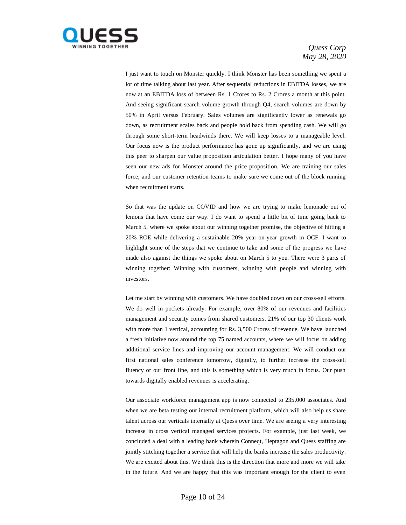

I just want to touch on Monster quickly. I think Monster has been something we spent a lot of time talking about last year. After sequential reductions in EBITDA losses, we are now at an EBITDA loss of between Rs. 1 Crores to Rs. 2 Crores a month at this point. And seeing significant search volume growth through Q4, search volumes are down by 50% in April versus February. Sales volumes are significantly lower as renewals go down, as recruitment scales back and people hold back from spending cash. We will go through some short-term headwinds there. We will keep losses to a manageable level. Our focus now is the product performance has gone up significantly, and we are using this peer to sharpen our value proposition articulation better. I hope many of you have seen our new ads for Monster around the price proposition. We are training our sales force, and our customer retention teams to make sure we come out of the block running when recruitment starts.

So that was the update on COVID and how we are trying to make lemonade out of lemons that have come our way. I do want to spend a little bit of time going back to March 5, where we spoke about our winning together promise, the objective of hitting a 20% ROE while delivering a sustainable 20% year-on-year growth in OCF. I want to highlight some of the steps that we continue to take and some of the progress we have made also against the things we spoke about on March 5 to you. There were 3 parts of winning together: Winning with customers, winning with people and winning with investors.

Let me start by winning with customers. We have doubled down on our cross-sell efforts. We do well in pockets already. For example, over 80% of our revenues and facilities management and security comes from shared customers. 21% of our top 30 clients work with more than 1 vertical, accounting for Rs. 3,500 Crores of revenue. We have launched a fresh initiative now around the top 75 named accounts, where we will focus on adding additional service lines and improving our account management. We will conduct our first national sales conference tomorrow, digitally, to further increase the cross-sell fluency of our front line, and this is something which is very much in focus. Our push towards digitally enabled revenues is accelerating.

Our associate workforce management app is now connected to 235,000 associates. And when we are beta testing our internal recruitment platform, which will also help us share talent across our verticals internally at Quess over time. We are seeing a very interesting increase in cross vertical managed services projects. For example, just last week, we concluded a deal with a leading bank wherein Conneqt, Heptagon and Quess staffing are jointly stitching together a service that will help the banks increase the sales productivity. We are excited about this. We think this is the direction that more and more we will take in the future. And we are happy that this was important enough for the client to even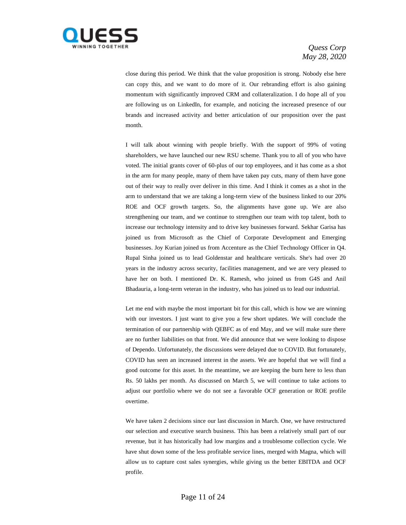

close during this period. We think that the value proposition is strong. Nobody else here can copy this, and we want to do more of it. Our rebranding effort is also gaining momentum with significantly improved CRM and collateralization. I do hope all of you are following us on LinkedIn, for example, and noticing the increased presence of our brands and increased activity and better articulation of our proposition over the past month.

I will talk about winning with people briefly. With the support of 99% of voting shareholders, we have launched our new RSU scheme. Thank you to all of you who have voted. The initial grants cover of 60-plus of our top employees, and it has come as a shot in the arm for many people, many of them have taken pay cuts, many of them have gone out of their way to really over deliver in this time. And I think it comes as a shot in the arm to understand that we are taking a long-term view of the business linked to our 20% ROE and OCF growth targets. So, the alignments have gone up. We are also strengthening our team, and we continue to strengthen our team with top talent, both to increase our technology intensity and to drive key businesses forward. Sekhar Garisa has joined us from Microsoft as the Chief of Corporate Development and Emerging businesses. Joy Kurian joined us from Accenture as the Chief Technology Officer in Q4. Rupal Sinha joined us to lead Goldenstar and healthcare verticals. She's had over 20 years in the industry across security, facilities management, and we are very pleased to have her on both. I mentioned Dr. K. Ramesh, who joined us from G4S and Anil Bhadauria, a long-term veteran in the industry, who has joined us to lead our industrial.

Let me end with maybe the most important bit for this call, which is how we are winning with our investors. I just want to give you a few short updates. We will conclude the termination of our partnership with QEBFC as of end May, and we will make sure there are no further liabilities on that front. We did announce that we were looking to dispose of Dependo. Unfortunately, the discussions were delayed due to COVID. But fortunately, COVID has seen an increased interest in the assets. We are hopeful that we will find a good outcome for this asset. In the meantime, we are keeping the burn here to less than Rs. 50 lakhs per month. As discussed on March 5, we will continue to take actions to adjust our portfolio where we do not see a favorable OCF generation or ROE profile overtime.

We have taken 2 decisions since our last discussion in March. One, we have restructured our selection and executive search business. This has been a relatively small part of our revenue, but it has historically had low margins and a troublesome collection cycle. We have shut down some of the less profitable service lines, merged with Magna, which will allow us to capture cost sales synergies, while giving us the better EBITDA and OCF profile.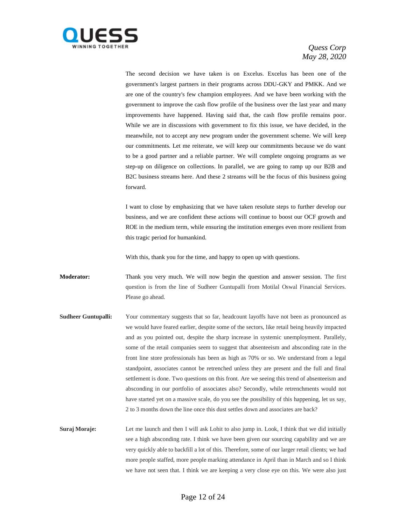

The second decision we have taken is on Excelus. Excelus has been one of the government's largest partners in their programs across DDU-GKY and PMKK. And we are one of the country's few champion employees. And we have been working with the government to improve the cash flow profile of the business over the last year and many improvements have happened. Having said that, the cash flow profile remains poor. While we are in discussions with government to fix this issue, we have decided, in the meanwhile, not to accept any new program under the government scheme. We will keep our commitments. Let me reiterate, we will keep our commitments because we do want to be a good partner and a reliable partner. We will complete ongoing programs as we step-up on diligence on collections. In parallel, we are going to ramp up our B2B and B2C business streams here. And these 2 streams will be the focus of this business going forward.

I want to close by emphasizing that we have taken resolute steps to further develop our business, and we are confident these actions will continue to boost our OCF growth and ROE in the medium term, while ensuring the institution emerges even more resilient from this tragic period for humankind.

With this, thank you for the time, and happy to open up with questions.

**Moderator:** Thank you very much. We will now begin the question and answer session. The first question is from the line of Sudheer Guntupalli from Motilal Oswal Financial Services. Please go ahead.

**Sudheer Guntupalli:** Your commentary suggests that so far, headcount layoffs have not been as pronounced as we would have feared earlier, despite some of the sectors, like retail being heavily impacted and as you pointed out, despite the sharp increase in systemic unemployment. Parallely, some of the retail companies seem to suggest that absenteeism and absconding rate in the front line store professionals has been as high as 70% or so. We understand from a legal standpoint, associates cannot be retrenched unless they are present and the full and final settlement is done. Two questions on this front. Are we seeing this trend of absenteeism and absconding in our portfolio of associates also? Secondly, while retrenchments would not have started yet on a massive scale, do you see the possibility of this happening, let us say, 2 to 3 months down the line once this dust settles down and associates are back?

**Suraj Moraje:** Let me launch and then I will ask Lohit to also jump in. Look, I think that we did initially see a high absconding rate. I think we have been given our sourcing capability and we are very quickly able to backfill a lot of this. Therefore, some of our larger retail clients; we had more people staffed, more people marking attendance in April than in March and so I think we have not seen that. I think we are keeping a very close eye on this. We were also just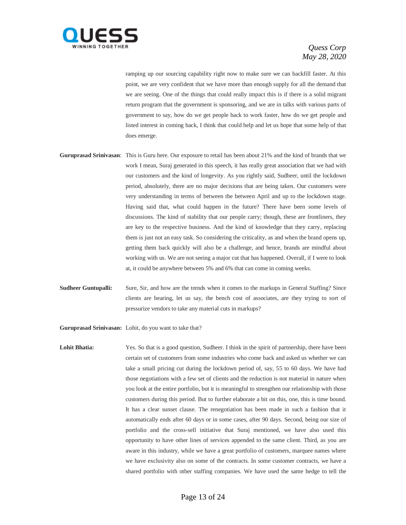

ramping up our sourcing capability right now to make sure we can backfill faster. At this point, we are very confident that we have more than enough supply for all the demand that we are seeing. One of the things that could really impact this is if there is a solid migrant return program that the government is sponsoring, and we are in talks with various parts of government to say, how do we get people back to work faster, how do we get people and listed interest in coming back, I think that could help and let us hope that some help of that does emerge.

- **Guruprasad Srinivasan**: This is Guru here. Our exposure to retail has been about 21% and the kind of brands that we work I mean, Suraj generated in this speech, it has really great association that we had with our customers and the kind of longevity. As you rightly said, Sudheer, until the lockdown period, absolutely, there are no major decisions that are being taken. Our customers were very understanding in terms of between the between April and up to the lockdown stage. Having said that, what could happen in the future? There have been some levels of discussions. The kind of stability that our people carry; though, these are frontliners, they are key to the respective business. And the kind of knowledge that they carry, replacing them is just not an easy task. So considering the criticality, as and when the brand opens up, getting them back quickly will also be a challenge, and hence, brands are mindful about working with us. We are not seeing a major cut that has happened. Overall, if I were to look at, it could be anywhere between 5% and 6% that can come in coming weeks.
- **Sudheer Guntupalli:** Sure, Sir, and how are the trends when it comes to the markups in General Staffing? Since clients are bearing, let us say, the bench cost of associates, are they trying to sort of pressurize vendors to take any material cuts in markups?

**Guruprasad Srinivasan:** Lohit, do you want to take that?

Lohit Bhatia: Yes. So that is a good question, Sudheer. I think in the spirit of partnership, there have been certain set of customers from some industries who come back and asked us whether we can take a small pricing cut during the lockdown period of, say, 55 to 60 days. We have had those negotiations with a few set of clients and the reduction is not material in nature when you look at the entire portfolio, but it is meaningful to strengthen our relationship with those customers during this period. But to further elaborate a bit on this, one, this is time bound. It has a clear sunset clause. The renegotiation has been made in such a fashion that it automatically ends after 60 days or in some cases, after 90 days. Second, being our size of portfolio and the cross-sell initiative that Suraj mentioned, we have also used this opportunity to have other lines of services appended to the same client. Third, as you are aware in this industry, while we have a great portfolio of customers, marquee names where we have exclusivity also on some of the contracts. In some customer contracts, we have a shared portfolio with other staffing companies. We have used the same hedge to tell the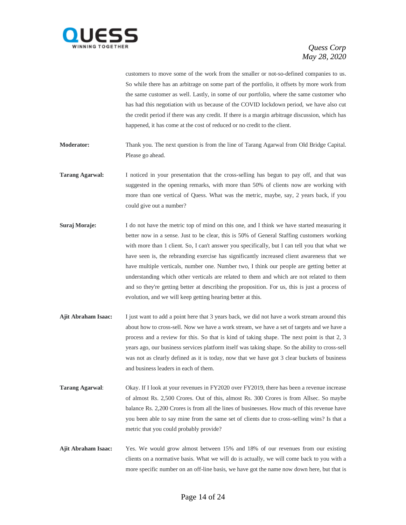

customers to move some of the work from the smaller or not-so-defined companies to us. So while there has an arbitrage on some part of the portfolio, it offsets by more work from the same customer as well. Lastly, in some of our portfolio, where the same customer who has had this negotiation with us because of the COVID lockdown period, we have also cut the credit period if there was any credit. If there is a margin arbitrage discussion, which has happened, it has come at the cost of reduced or no credit to the client.

**Moderator:** Thank you. The next question is from the line of Tarang Agarwal from Old Bridge Capital. Please go ahead.

- **Tarang Agarwal:** I noticed in your presentation that the cross-selling has begun to pay off, and that was suggested in the opening remarks, with more than 50% of clients now are working with more than one vertical of Quess. What was the metric, maybe, say, 2 years back, if you could give out a number?
- **Suraj Moraje:** I do not have the metric top of mind on this one, and I think we have started measuring it better now in a sense. Just to be clear, this is 50% of General Staffing customers working with more than 1 client. So, I can't answer you specifically, but I can tell you that what we have seen is, the rebranding exercise has significantly increased client awareness that we have multiple verticals, number one. Number two, I think our people are getting better at understanding which other verticals are related to them and which are not related to them and so they're getting better at describing the proposition. For us, this is just a process of evolution, and we will keep getting hearing better at this.
- **Ajit Abraham Isaac:** I just want to add a point here that 3 years back, we did not have a work stream around this about how to cross-sell. Now we have a work stream, we have a set of targets and we have a process and a review for this. So that is kind of taking shape. The next point is that 2, 3 years ago, our business services platform itself was taking shape. So the ability to cross-sell was not as clearly defined as it is today, now that we have got 3 clear buckets of business and business leaders in each of them.
- **Tarang Agarwal:** Okay. If I look at your revenues in FY2020 over FY2019, there has been a revenue increase of almost Rs. 2,500 Crores. Out of this, almost Rs. 300 Crores is from Allsec. So maybe balance Rs. 2,200 Crores is from all the lines of businesses. How much of this revenue have you been able to say mine from the same set of clients due to cross-selling wins? Is that a metric that you could probably provide?
- **Ajit Abraham Isaac:** Yes. We would grow almost between 15% and 18% of our revenues from our existing clients on a normative basis. What we will do is actually, we will come back to you with a more specific number on an off-line basis, we have got the name now down here, but that is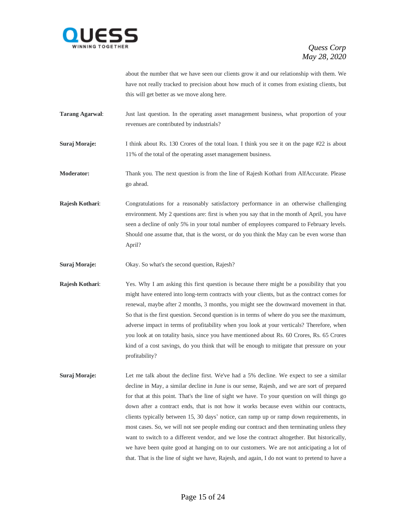

about the number that we have seen our clients grow it and our relationship with them. We have not really tracked to precision about how much of it comes from existing clients, but this will get better as we move along here.

**Tarang Agarwal:** Just last question. In the operating asset management business, what proportion of your revenues are contributed by industrials?

**Suraj Moraje:** I think about Rs. 130 Crores of the total loan. I think you see it on the page #22 is about 11% of the total of the operating asset management business.

**Moderator:** Thank you. The next question is from the line of Rajesh Kothari from AlfAccurate. Please go ahead.

**Rajesh Kothari**: Congratulations for a reasonably satisfactory performance in an otherwise challenging environment. My 2 questions are: first is when you say that in the month of April, you have seen a decline of only 5% in your total number of employees compared to February levels. Should one assume that, that is the worst, or do you think the May can be even worse than April?

**Suraj Moraje:** Okay. So what's the second question, Rajesh?

**Rajesh Kothari:** Yes. Why I am asking this first question is because there might be a possibility that you might have entered into long-term contracts with your clients, but as the contract comes for renewal, maybe after 2 months, 3 months, you might see the downward movement in that. So that is the first question. Second question is in terms of where do you see the maximum, adverse impact in terms of profitability when you look at your verticals? Therefore, when you look at on totality basis, since you have mentioned about Rs. 60 Crores, Rs. 65 Crores kind of a cost savings, do you think that will be enough to mitigate that pressure on your profitability?

**Suraj Moraje:** Let me talk about the decline first. We've had a 5% decline. We expect to see a similar decline in May, a similar decline in June is our sense, Rajesh, and we are sort of prepared for that at this point. That's the line of sight we have. To your question on will things go down after a contract ends, that is not how it works because even within our contracts, clients typically between 15, 30 days' notice, can ramp up or ramp down requirements, in most cases. So, we will not see people ending our contract and then terminating unless they want to switch to a different vendor, and we lose the contract altogether. But historically, we have been quite good at hanging on to our customers. We are not anticipating a lot of that. That is the line of sight we have, Rajesh, and again, I do not want to pretend to have a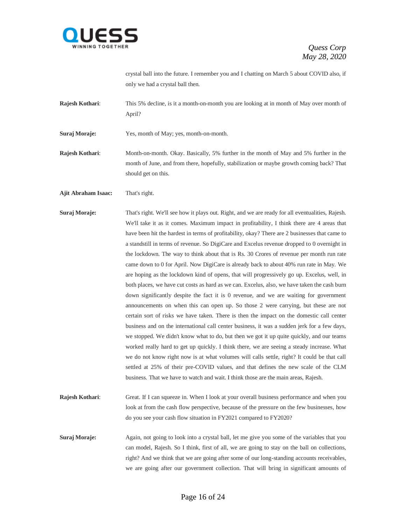

crystal ball into the future. I remember you and I chatting on March 5 about COVID also, if only we had a crystal ball then.

**Rajesh Kothari:** This 5% decline, is it a month-on-month you are looking at in month of May over month of April?

**Suraj Moraje:** Yes, month of May; yes, month-on-month.

**Rajesh Kothari**: Month-on-month. Okay. Basically, 5% further in the month of May and 5% further in the month of June, and from there, hopefully, stabilization or maybe growth coming back? That should get on this.

**Ajit Abraham Isaac:** That's right.

**Suraj Moraje:** That's right. We'll see how it plays out. Right, and we are ready for all eventualities, Rajesh. We'll take it as it comes. Maximum impact in profitability, I think there are 4 areas that have been hit the hardest in terms of profitability, okay? There are 2 businesses that came to a standstill in terms of revenue. So DigiCare and Excelus revenue dropped to 0 overnight in the lockdown. The way to think about that is Rs. 30 Crores of revenue per month run rate came down to 0 for April. Now DigiCare is already back to about 40% run rate in May. We are hoping as the lockdown kind of opens, that will progressively go up. Excelus, well, in both places, we have cut costs as hard as we can. Excelus, also, we have taken the cash burn down significantly despite the fact it is 0 revenue, and we are waiting for government announcements on when this can open up. So those 2 were carrying, but these are not certain sort of risks we have taken. There is then the impact on the domestic call center business and on the international call center business, it was a sudden jerk for a few days, we stopped. We didn't know what to do, but then we got it up quite quickly, and our teams worked really hard to get up quickly. I think there, we are seeing a steady increase. What we do not know right now is at what volumes will calls settle, right? It could be that call settled at 25% of their pre-COVID values, and that defines the new scale of the CLM business. That we have to watch and wait. I think those are the main areas, Rajesh.

**Rajesh Kothari:** Great. If I can squeeze in. When I look at your overall business performance and when you look at from the cash flow perspective, because of the pressure on the few businesses, how do you see your cash flow situation in FY2021 compared to FY2020?

**Suraj Moraje:** Again, not going to look into a crystal ball, let me give you some of the variables that you can model, Rajesh. So I think, first of all, we are going to stay on the ball on collections, right? And we think that we are going after some of our long-standing accounts receivables, we are going after our government collection. That will bring in significant amounts of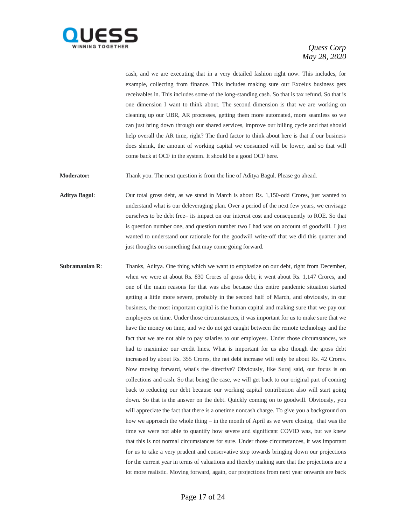

cash, and we are executing that in a very detailed fashion right now. This includes, for example, collecting from finance. This includes making sure our Excelus business gets receivables in. This includes some of the long-standing cash. So that is tax refund. So that is one dimension I want to think about. The second dimension is that we are working on cleaning up our UBR, AR processes, getting them more automated, more seamless so we can just bring down through our shared services, improve our billing cycle and that should help overall the AR time, right? The third factor to think about here is that if our business does shrink, the amount of working capital we consumed will be lower, and so that will come back at OCF in the system. It should be a good OCF here.

**Moderator:** Thank you. The next question is from the line of Aditya Bagul. Please go ahead.

**Aditya Bagul**: Our total gross debt, as we stand in March is about Rs. 1,150-odd Crores, just wanted to understand what is our deleveraging plan. Over a period of the next few years, we envisage ourselves to be debt free– its impact on our interest cost and consequently to ROE. So that is question number one, and question number two I had was on account of goodwill. I just wanted to understand our rationale for the goodwill write-off that we did this quarter and just thoughts on something that may come going forward.

**Subramanian R:** Thanks, Aditya. One thing which we want to emphasize on our debt, right from December, when we were at about Rs. 830 Crores of gross debt, it went about Rs. 1,147 Crores, and one of the main reasons for that was also because this entire pandemic situation started getting a little more severe, probably in the second half of March, and obviously, in our business, the most important capital is the human capital and making sure that we pay our employees on time. Under those circumstances, it was important for us to make sure that we have the money on time, and we do not get caught between the remote technology and the fact that we are not able to pay salaries to our employees. Under those circumstances, we had to maximize our credit lines. What is important for us also though the gross debt increased by about Rs. 355 Crores, the net debt increase will only be about Rs. 42 Crores. Now moving forward, what's the directive? Obviously, like Suraj said, our focus is on collections and cash. So that being the case, we will get back to our original part of coming back to reducing our debt because our working capital contribution also will start going down. So that is the answer on the debt. Quickly coming on to goodwill. Obviously, you will appreciate the fact that there is a onetime noncash charge. To give you a background on how we approach the whole thing – in the month of April as we were closing, that was the time we were not able to quantify how severe and significant COVID was, but we knew that this is not normal circumstances for sure. Under those circumstances, it was important for us to take a very prudent and conservative step towards bringing down our projections for the current year in terms of valuations and thereby making sure that the projections are a lot more realistic. Moving forward, again, our projections from next year onwards are back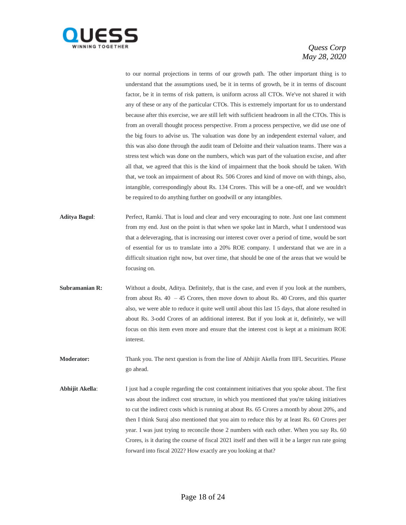

to our normal projections in terms of our growth path. The other important thing is to understand that the assumptions used, be it in terms of growth, be it in terms of discount factor, be it in terms of risk pattern, is uniform across all CTOs. We've not shared it with any of these or any of the particular CTOs. This is extremely important for us to understand because after this exercise, we are still left with sufficient headroom in all the CTOs. This is from an overall thought process perspective. From a process perspective, we did use one of the big fours to advise us. The valuation was done by an independent external valuer, and this was also done through the audit team of Deloitte and their valuation teams. There was a stress test which was done on the numbers, which was part of the valuation excise, and after all that, we agreed that this is the kind of impairment that the book should be taken. With that, we took an impairment of about Rs. 506 Crores and kind of move on with things, also, intangible, correspondingly about Rs. 134 Crores. This will be a one-off, and we wouldn't be required to do anything further on goodwill or any intangibles.

- **Aditya Bagul**: Perfect, Ramki. That is loud and clear and very encouraging to note. Just one last comment from my end. Just on the point is that when we spoke last in March, what I understood was that a deleveraging, that is increasing our interest cover over a period of time, would be sort of essential for us to translate into a 20% ROE company. I understand that we are in a difficult situation right now, but over time, that should be one of the areas that we would be focusing on.
- **Subramanian R:** Without a doubt, Aditya. Definitely, that is the case, and even if you look at the numbers, from about Rs. 40 – 45 Crores, then move down to about Rs. 40 Crores, and this quarter also, we were able to reduce it quite well until about this last 15 days, that alone resulted in about Rs. 3-odd Crores of an additional interest. But if you look at it, definitely, we will focus on this item even more and ensure that the interest cost is kept at a minimum ROE interest.
- **Moderator:** Thank you. The next question is from the line of Abhijit Akella from IIFL Securities. Please go ahead.
- **Abhijit Akella**: I just had a couple regarding the cost containment initiatives that you spoke about. The first was about the indirect cost structure, in which you mentioned that you're taking initiatives to cut the indirect costs which is running at about Rs. 65 Crores a month by about 20%, and then I think Suraj also mentioned that you aim to reduce this by at least Rs. 60 Crores per year. I was just trying to reconcile those 2 numbers with each other. When you say Rs. 60 Crores, is it during the course of fiscal 2021 itself and then will it be a larger run rate going forward into fiscal 2022? How exactly are you looking at that?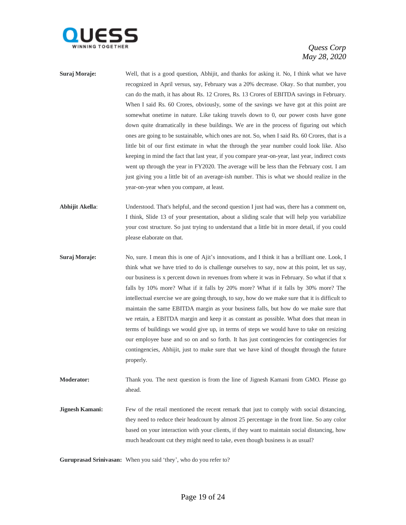

- **Suraj Moraje:** Well, that is a good question, Abhijit, and thanks for asking it. No, I think what we have recognized in April versus, say, February was a 20% decrease. Okay. So that number, you can do the math, it has about Rs. 12 Crores, Rs. 13 Crores of EBITDA savings in February. When I said Rs. 60 Crores, obviously, some of the savings we have got at this point are somewhat onetime in nature. Like taking travels down to 0, our power costs have gone down quite dramatically in these buildings. We are in the process of figuring out which ones are going to be sustainable, which ones are not. So, when I said Rs. 60 Crores, that is a little bit of our first estimate in what the through the year number could look like. Also keeping in mind the fact that last year, if you compare year-on-year, last year, indirect costs went up through the year in FY2020. The average will be less than the February cost. I am just giving you a little bit of an average-ish number. This is what we should realize in the year-on-year when you compare, at least.
- **Abhijit Akella**: Understood. That's helpful, and the second question I just had was, there has a comment on, I think, Slide 13 of your presentation, about a sliding scale that will help you variabilize your cost structure. So just trying to understand that a little bit in more detail, if you could please elaborate on that.
- **Suraj Moraje:** No, sure. I mean this is one of Ajit's innovations, and I think it has a brilliant one. Look, I think what we have tried to do is challenge ourselves to say, now at this point, let us say, our business is x percent down in revenues from where it was in February. So what if that x falls by 10% more? What if it falls by 20% more? What if it falls by 30% more? The intellectual exercise we are going through, to say, how do we make sure that it is difficult to maintain the same EBITDA margin as your business falls, but how do we make sure that we retain, a EBITDA margin and keep it as constant as possible. What does that mean in terms of buildings we would give up, in terms of steps we would have to take on resizing our employee base and so on and so forth. It has just contingencies for contingencies for contingencies, Abhijit, just to make sure that we have kind of thought through the future properly.

**Moderator:** Thank you. The next question is from the line of Jignesh Kamani from GMO. Please go ahead.

**Jignesh Kamani:** Few of the retail mentioned the recent remark that just to comply with social distancing, they need to reduce their headcount by almost 25 percentage in the front line. So any color based on your interaction with your clients, if they want to maintain social distancing, how much headcount cut they might need to take, even though business is as usual?

**Guruprasad Srinivasan:** When you said 'they', who do you refer to?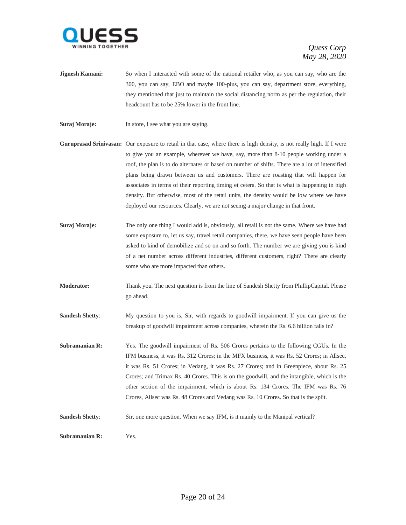

- **Jignesh Kamani:** So when I interacted with some of the national retailer who, as you can say, who are the 300, you can say, EBO and maybe 100-plus, you can say, department store, everything, they mentioned that just to maintain the social distancing norm as per the regulation, their headcount has to be 25% lower in the front line.
- **Suraj Moraje:** In store, I see what you are saying.
- **Guruprasad Srinivasan:** Our exposure to retail in that case, where there is high density, is not really high. If I were to give you an example, wherever we have, say, more than 8-10 people working under a roof, the plan is to do alternates or based on number of shifts. There are a lot of intensified plans being drawn between us and customers. There are roasting that will happen for associates in terms of their reporting timing et cetera. So that is what is happening in high density. But otherwise, most of the retail units, the density would be low where we have deployed our resources. Clearly, we are not seeing a major change in that front.
- **Suraj Moraje:** The only one thing I would add is, obviously, all retail is not the same. Where we have had some exposure to, let us say, travel retail companies, there, we have seen people have been asked to kind of demobilize and so on and so forth. The number we are giving you is kind of a net number across different industries, different customers, right? There are clearly some who are more impacted than others.
- **Moderator:** Thank you. The next question is from the line of Sandesh Shetty from PhillipCapital. Please go ahead.
- **Sandesh Shetty:** My question to you is, Sir, with regards to goodwill impairment. If you can give us the breakup of goodwill impairment across companies, wherein the Rs. 6.6 billion falls in?
- **Subramanian R:** Yes. The goodwill impairment of Rs. 506 Crores pertains to the following CGUs. In the IFM business, it was Rs. 312 Crores; in the MFX business, it was Rs. 52 Crores; in Allsec, it was Rs. 51 Crores; in Vedang, it was Rs. 27 Crores; and in Greenpiece, about Rs. 25 Crores; and Trimax Rs. 40 Crores. This is on the goodwill, and the intangible, which is the other section of the impairment, which is about Rs. 134 Crores. The IFM was Rs. 76 Crores, Allsec was Rs. 48 Crores and Vedang was Rs. 10 Crores. So that is the split.
- **Sandesh Shetty:** Sir, one more question. When we say IFM, is it mainly to the Manipal vertical?

**Subramanian R:** Yes.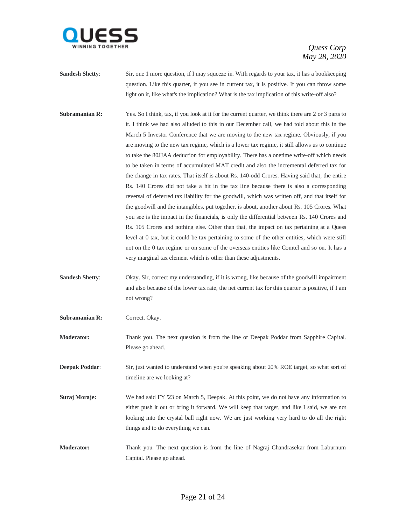

- **Sandesh Shetty:** Sir, one 1 more question, if I may squeeze in. With regards to your tax, it has a bookkeeping question. Like this quarter, if you see in current tax, it is positive. If you can throw some light on it, like what's the implication? What is the tax implication of this write-off also?
- **Subramanian R:** Yes. So I think, tax, if you look at it for the current quarter, we think there are 2 or 3 parts to it. I think we had also alluded to this in our December call, we had told about this in the March 5 Investor Conference that we are moving to the new tax regime. Obviously, if you are moving to the new tax regime, which is a lower tax regime, it still allows us to continue to take the 80JJAA deduction for employability. There has a onetime write-off which needs to be taken in terms of accumulated MAT credit and also the incremental deferred tax for the change in tax rates. That itself is about Rs. 140-odd Crores. Having said that, the entire Rs. 140 Crores did not take a hit in the tax line because there is also a corresponding reversal of deferred tax liability for the goodwill, which was written off, and that itself for the goodwill and the intangibles, put together, is about, another about Rs. 105 Crores. What you see is the impact in the financials, is only the differential between Rs. 140 Crores and Rs. 105 Crores and nothing else. Other than that, the impact on tax pertaining at a Quess level at 0 tax, but it could be tax pertaining to some of the other entities, which were still not on the 0 tax regime or on some of the overseas entities like Comtel and so on. It has a very marginal tax element which is other than these adjustments.
- **Sandesh Shetty:** Okay. Sir, correct my understanding, if it is wrong, like because of the goodwill impairment and also because of the lower tax rate, the net current tax for this quarter is positive, if I am not wrong?
- Subramanian R: Correct. Okay.

**Moderator:** Thank you. The next question is from the line of Deepak Poddar from Sapphire Capital. Please go ahead.

**Deepak Poddar:** Sir, just wanted to understand when you're speaking about 20% ROE target, so what sort of timeline are we looking at?

- **Suraj Moraje:** We had said FY '23 on March 5, Deepak. At this point, we do not have any information to either push it out or bring it forward. We will keep that target, and like I said, we are not looking into the crystal ball right now. We are just working very hard to do all the right things and to do everything we can.
- **Moderator:** Thank you. The next question is from the line of Nagraj Chandrasekar from Laburnum Capital. Please go ahead.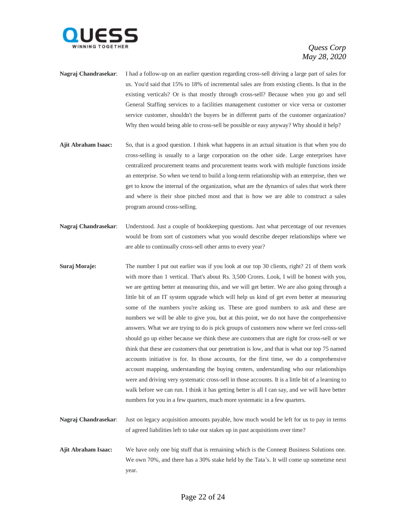

- **Nagraj Chandrasekar**: I had a follow-up on an earlier question regarding cross-sell driving a large part of sales for us. You'd said that 15% to 18% of incremental sales are from existing clients. Is that in the existing verticals? Or is that mostly through cross-sell? Because when you go and sell General Staffing services to a facilities management customer or vice versa or customer service customer, shouldn't the buyers be in different parts of the customer organization? Why then would being able to cross-sell be possible or easy anyway? Why should it help?
- **Ajit Abraham Isaac:** So, that is a good question. I think what happens in an actual situation is that when you do cross-selling is usually to a large corporation on the other side. Large enterprises have centralized procurement teams and procurement teams work with multiple functions inside an enterprise. So when we tend to build a long-term relationship with an enterprise, then we get to know the internal of the organization, what are the dynamics of sales that work there and where is their shoe pitched most and that is how we are able to construct a sales program around cross-selling.
- **Nagraj Chandrasekar**: Understood. Just a couple of bookkeeping questions. Just what percentage of our revenues would be from sort of customers what you would describe deeper relationships where we are able to continually cross-sell other arms to every year?
- **Suraj Moraje:** The number I put out earlier was if you look at our top 30 clients, right? 21 of them work with more than 1 vertical. That's about Rs. 3,500 Crores. Look, I will be honest with you, we are getting better at measuring this, and we will get better. We are also going through a little bit of an IT system upgrade which will help us kind of get even better at measuring some of the numbers you're asking us. These are good numbers to ask and these are numbers we will be able to give you, but at this point, we do not have the comprehensive answers. What we are trying to do is pick groups of customers now where we feel cross-sell should go up either because we think these are customers that are right for cross-sell or we think that these are customers that our penetration is low, and that is what our top 75 named accounts initiative is for. In those accounts, for the first time, we do a comprehensive account mapping, understanding the buying centers, understanding who our relationships were and driving very systematic cross-sell in those accounts. It is a little bit of a learning to walk before we can run. I think it has getting better is all I can say, and we will have better numbers for you in a few quarters, much more systematic in a few quarters.
- **Nagraj Chandrasekar**: Just on legacy acquisition amounts payable, how much would be left for us to pay in terms of agreed liabilities left to take our stakes up in past acquisitions over time?
- **Ajit Abraham Isaac:** We have only one big stuff that is remaining which is the Conneqt Business Solutions one. We own 70%, and there has a 30% stake held by the Tata's. It will come up sometime next year.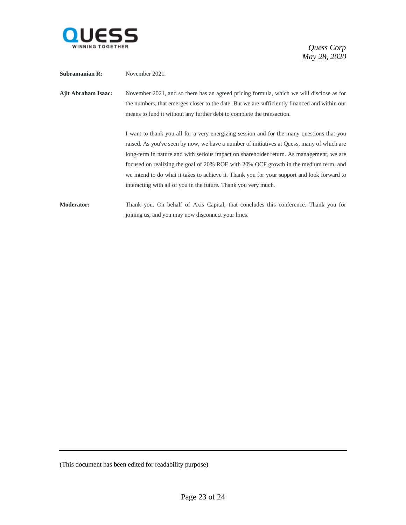

| Subramanian R:             | November 2021.                                                                                                                                                                                                                                                                                                                                                                                                                                                                                                                                |
|----------------------------|-----------------------------------------------------------------------------------------------------------------------------------------------------------------------------------------------------------------------------------------------------------------------------------------------------------------------------------------------------------------------------------------------------------------------------------------------------------------------------------------------------------------------------------------------|
| <b>Ajit Abraham Isaac:</b> | November 2021, and so there has an agreed pricing formula, which we will disclose as for<br>the numbers, that emerges closer to the date. But we are sufficiently financed and within our<br>means to fund it without any further debt to complete the transaction.                                                                                                                                                                                                                                                                           |
|                            | I want to thank you all for a very energizing session and for the many questions that you<br>raised. As you've seen by now, we have a number of initiatives at Quess, many of which are<br>long-term in nature and with serious impact on shareholder return. As management, we are<br>focused on realizing the goal of 20% ROE with 20% OCF growth in the medium term, and<br>we intend to do what it takes to achieve it. Thank you for your support and look forward to<br>interacting with all of you in the future. Thank you very much. |
| <b>Moderator:</b>          | Thank you. On behalf of Axis Capital, that concludes this conference. Thank you for<br>joining us, and you may now disconnect your lines.                                                                                                                                                                                                                                                                                                                                                                                                     |

<sup>(</sup>This document has been edited for readability purpose)